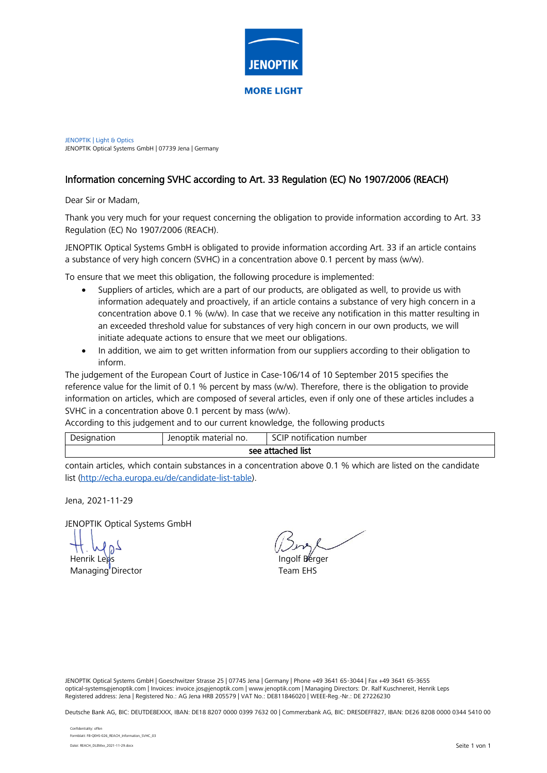

JENOPTIK | Light & Optics JENOPTIK Optical Systems GmbH | 07739 Jena | Germany

## Information concerning SVHC according to Art. 33 Regulation (EC) No 1907/2006 (REACH)

Dear Sir or Madam,

Thank you very much for your request concerning the obligation to provide information according to Art. 33 Regulation (EC) No 1907/2006 (REACH).

JENOPTIK Optical Systems GmbH is obligated to provide information according Art. 33 if an article contains a substance of very high concern (SVHC) in a concentration above 0.1 percent by mass (w/w).

To ensure that we meet this obligation, the following procedure is implemented:

- Suppliers of articles, which are a part of our products, are obligated as well, to provide us with information adequately and proactively, if an article contains a substance of very high concern in a concentration above 0.1 % (w/w). In case that we receive any notification in this matter resulting in an exceeded threshold value for substances of very high concern in our own products, we will initiate adequate actions to ensure that we meet our obligations.
- In addition, we aim to get written information from our suppliers according to their obligation to inform.

The judgement of the European Court of Justice in Case-106/14 of 10 September 2015 specifies the reference value for the limit of 0.1 % percent by mass (w/w). Therefore, there is the obligation to provide information on articles, which are composed of several articles, even if only one of these articles includes a SVHC in a concentration above 0.1 percent by mass (w/w).

According to this judgement and to our current knowledge, the following products

| Designation       | Jenoptik material no. | $^{\circ}$ ( $\Box$ $\Box$<br>notification number |  |  |  |  |  |
|-------------------|-----------------------|---------------------------------------------------|--|--|--|--|--|
| see attached list |                       |                                                   |  |  |  |  |  |
|                   |                       |                                                   |  |  |  |  |  |

contain articles, which contain substances in a concentration above 0.1 % which are listed on the candidate list [\(http://echa.europa.eu/de/candidate-list-table\)](http://echa.europa.eu/de/candidate-list-table).

Jena, 2021-11-29

JENOPTIK Optical Systems GmbH

Henrik Leps

Managing Director

Ingolf Berger Team EHS

JENOPTIK Optical Systems GmbH | Goeschwitzer Strasse 25 | 07745 Jena | Germany | Phone +49 3641 65-3044 | Fax +49 3641 65-3655 optical-systems@jenoptik.com | Invoices: invoice.jos@jenoptik.com | www.jenoptik.com | Managing Directors: Dr. Ralf Kuschnereit, Henrik Leps Registered address: Jena | Registered No.: AG Jena HRB 205579 | VAT No.: DE811846020 | WEEE-Reg.-Nr.: DE 27226230

Deutsche Bank AG, BIC: DEUTDE8EXXX, IBAN: DE18 8207 0000 0399 7632 00 | Commerzbank AG, BIC: DRESDEFF827, IBAN: DE26 8208 0000 0344 5410 00

Confidentiality: offen Formblatt: FB-QEHS-026\_REACH\_Information\_SVHC\_03 Datei: REACH\_DLEMxx\_2021-11-29.docx Seite 1 von 1